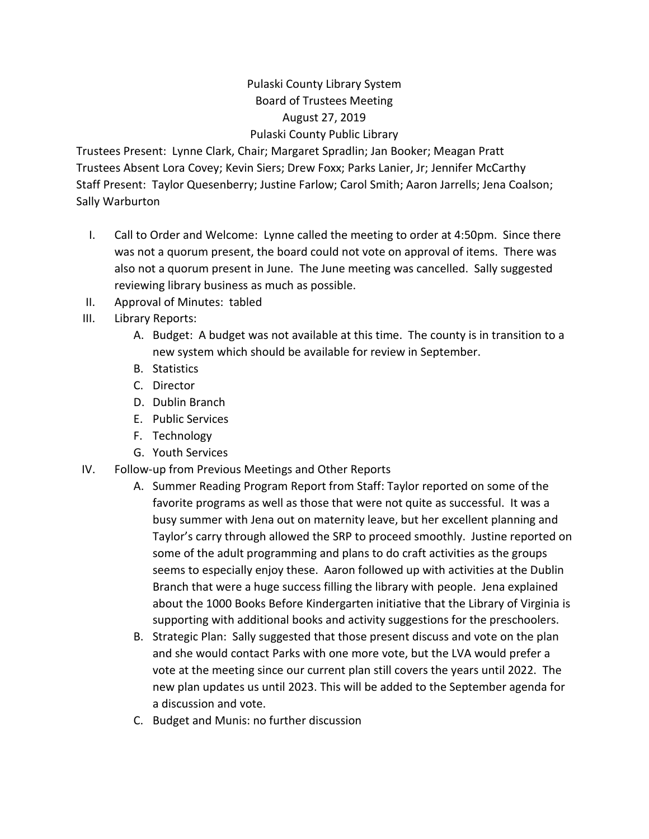## Pulaski County Library System Board of Trustees Meeting August 27, 2019 Pulaski County Public Library

Trustees Present: Lynne Clark, Chair; Margaret Spradlin; Jan Booker; Meagan Pratt Trustees Absent Lora Covey; Kevin Siers; Drew Foxx; Parks Lanier, Jr; Jennifer McCarthy Staff Present: Taylor Quesenberry; Justine Farlow; Carol Smith; Aaron Jarrells; Jena Coalson; Sally Warburton

- I. Call to Order and Welcome: Lynne called the meeting to order at 4:50pm. Since there was not a quorum present, the board could not vote on approval of items. There was also not a quorum present in June. The June meeting was cancelled. Sally suggested reviewing library business as much as possible.
- II. Approval of Minutes: tabled
- III. Library Reports:
	- A. Budget: A budget was not available at this time. The county is in transition to a new system which should be available for review in September.
	- B. Statistics
	- C. Director
	- D. Dublin Branch
	- E. Public Services
	- F. Technology
	- G. Youth Services
- IV. Follow-up from Previous Meetings and Other Reports
	- A. Summer Reading Program Report from Staff: Taylor reported on some of the favorite programs as well as those that were not quite as successful. It was a busy summer with Jena out on maternity leave, but her excellent planning and Taylor's carry through allowed the SRP to proceed smoothly. Justine reported on some of the adult programming and plans to do craft activities as the groups seems to especially enjoy these. Aaron followed up with activities at the Dublin Branch that were a huge success filling the library with people. Jena explained about the 1000 Books Before Kindergarten initiative that the Library of Virginia is supporting with additional books and activity suggestions for the preschoolers.
	- B. Strategic Plan: Sally suggested that those present discuss and vote on the plan and she would contact Parks with one more vote, but the LVA would prefer a vote at the meeting since our current plan still covers the years until 2022. The new plan updates us until 2023. This will be added to the September agenda for a discussion and vote.
	- C. Budget and Munis: no further discussion